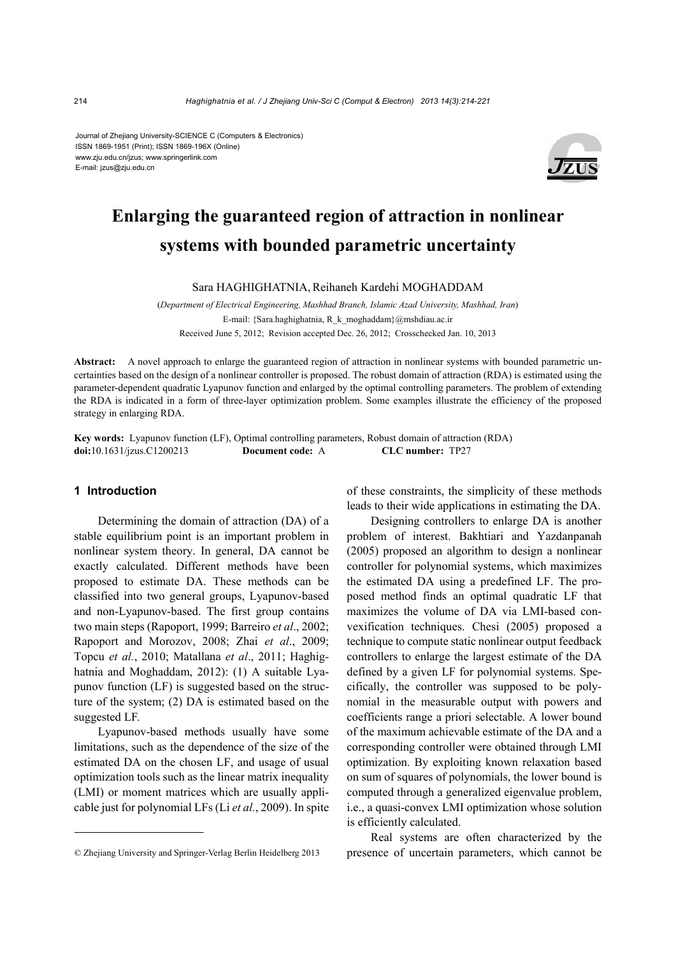Journal of Zhejiang University-SCIENCE C (Computers & Electronics) ISSN 1869-1951 (Print); ISSN 1869-196X (Online) www.zju.edu.cn/jzus; www.springerlink.com E-mail: jzus@zju.edu.cn



# **Enlarging the guaranteed region of attraction in nonlinear systems with bounded parametric uncertainty**

Sara HAGHIGHATNIA, Reihaneh Kardehi MOGHADDAM

(*Department of Electrical Engineering, Mashhad Branch, Islamic Azad University, Mashhad, Iran*) E-mail: {Sara.haghighatnia, R\_k\_moghaddam}@mshdiau.ac.ir Received June 5, 2012; Revision accepted Dec. 26, 2012; Crosschecked Jan. 10, 2013

**Abstract:** A novel approach to enlarge the guaranteed region of attraction in nonlinear systems with bounded parametric uncertainties based on the design of a nonlinear controller is proposed. The robust domain of attraction (RDA) is estimated using the parameter-dependent quadratic Lyapunov function and enlarged by the optimal controlling parameters. The problem of extending the RDA is indicated in a form of three-layer optimization problem. Some examples illustrate the efficiency of the proposed strategy in enlarging RDA.

**Key words:** Lyapunov function (LF), Optimal controlling parameters, Robust domain of attraction (RDA) **doi:**10.1631/jzus.C1200213 **Document code:** A **CLC number:** TP27

# **1 Introduction**

Determining the domain of attraction (DA) of a stable equilibrium point is an important problem in nonlinear system theory. In general, DA cannot be exactly calculated. Different methods have been proposed to estimate DA. These methods can be classified into two general groups, Lyapunov-based and non-Lyapunov-based. The first group contains two main steps (Rapoport, 1999; Barreiro *et al*., 2002; Rapoport and Morozov, 2008; Zhai *et al*., 2009; Topcu *et al.*, 2010; Matallana *et al*., 2011; Haghighatnia and Moghaddam, 2012): (1) A suitable Lyapunov function (LF) is suggested based on the structure of the system; (2) DA is estimated based on the suggested LF.

Lyapunov-based methods usually have some limitations, such as the dependence of the size of the estimated DA on the chosen LF, and usage of usual optimization tools such as the linear matrix inequality (LMI) or moment matrices which are usually applicable just for polynomial LFs (Li *et al.*, 2009). In spite

of these constraints, the simplicity of these methods leads to their wide applications in estimating the DA.

Designing controllers to enlarge DA is another problem of interest. Bakhtiari and Yazdanpanah (2005) proposed an algorithm to design a nonlinear controller for polynomial systems, which maximizes the estimated DA using a predefined LF. The proposed method finds an optimal quadratic LF that maximizes the volume of DA via LMI-based convexification techniques. Chesi (2005) proposed a technique to compute static nonlinear output feedback controllers to enlarge the largest estimate of the DA defined by a given LF for polynomial systems. Specifically, the controller was supposed to be polynomial in the measurable output with powers and coefficients range a priori selectable. A lower bound of the maximum achievable estimate of the DA and a corresponding controller were obtained through LMI optimization. By exploiting known relaxation based on sum of squares of polynomials, the lower bound is computed through a generalized eigenvalue problem, i.e., a quasi-convex LMI optimization whose solution is efficiently calculated.

Real systems are often characterized by the presence of uncertain parameters, which cannot be

<sup>©</sup> Zhejiang University and Springer-Verlag Berlin Heidelberg 2013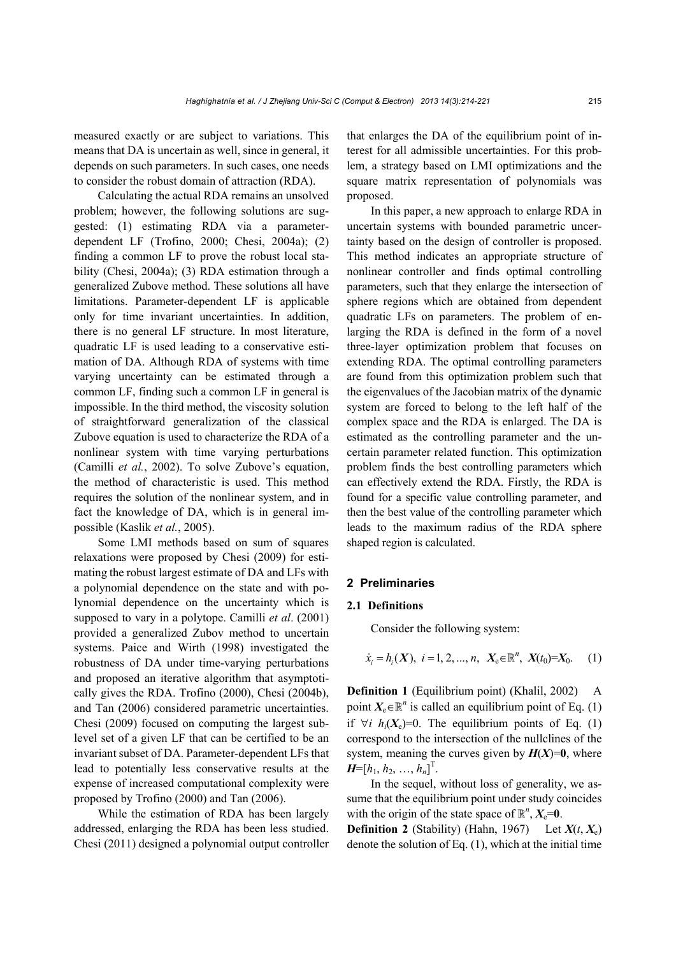measured exactly or are subject to variations. This means that DA is uncertain as well, since in general, it depends on such parameters. In such cases, one needs to consider the robust domain of attraction (RDA).

Calculating the actual RDA remains an unsolved problem; however, the following solutions are suggested: (1) estimating RDA via a parameterdependent LF (Trofino, 2000; Chesi, 2004a); (2) finding a common LF to prove the robust local stability (Chesi, 2004a); (3) RDA estimation through a generalized Zubove method. These solutions all have limitations. Parameter-dependent LF is applicable only for time invariant uncertainties. In addition, there is no general LF structure. In most literature, quadratic LF is used leading to a conservative estimation of DA. Although RDA of systems with time varying uncertainty can be estimated through a common LF, finding such a common LF in general is impossible. In the third method, the viscosity solution of straightforward generalization of the classical Zubove equation is used to characterize the RDA of a nonlinear system with time varying perturbations (Camilli *et al.*, 2002). To solve Zubove's equation, the method of characteristic is used. This method requires the solution of the nonlinear system, and in fact the knowledge of DA, which is in general impossible (Kaslik *et al.*, 2005).

Some LMI methods based on sum of squares relaxations were proposed by Chesi (2009) for estimating the robust largest estimate of DA and LFs with a polynomial dependence on the state and with polynomial dependence on the uncertainty which is supposed to vary in a polytope. Camilli *et al*. (2001) provided a generalized Zubov method to uncertain systems. Paice and Wirth (1998) investigated the robustness of DA under time-varying perturbations and proposed an iterative algorithm that asymptotically gives the RDA. Trofino (2000), Chesi (2004b), and Tan (2006) considered parametric uncertainties. Chesi (2009) focused on computing the largest sublevel set of a given LF that can be certified to be an invariant subset of DA. Parameter-dependent LFs that lead to potentially less conservative results at the expense of increased computational complexity were proposed by Trofino (2000) and Tan (2006).

While the estimation of RDA has been largely addressed, enlarging the RDA has been less studied. Chesi (2011) designed a polynomial output controller that enlarges the DA of the equilibrium point of interest for all admissible uncertainties. For this problem, a strategy based on LMI optimizations and the square matrix representation of polynomials was proposed.

In this paper, a new approach to enlarge RDA in uncertain systems with bounded parametric uncertainty based on the design of controller is proposed. This method indicates an appropriate structure of nonlinear controller and finds optimal controlling parameters, such that they enlarge the intersection of sphere regions which are obtained from dependent quadratic LFs on parameters. The problem of enlarging the RDA is defined in the form of a novel three-layer optimization problem that focuses on extending RDA. The optimal controlling parameters are found from this optimization problem such that the eigenvalues of the Jacobian matrix of the dynamic system are forced to belong to the left half of the complex space and the RDA is enlarged. The DA is estimated as the controlling parameter and the uncertain parameter related function. This optimization problem finds the best controlling parameters which can effectively extend the RDA. Firstly, the RDA is found for a specific value controlling parameter, and then the best value of the controlling parameter which leads to the maximum radius of the RDA sphere shaped region is calculated.

# **2 Preliminaries**

### **2.1 Definitions**

Consider the following system:

$$
\dot{x}_i = h_i(X), \ i = 1, 2, ..., n, \ X_e \in \mathbb{R}^n, \ X(t_0) = X_0. \tag{1}
$$

**Definition 1** (Equilibrium point) (Khalil, 2002) A point  $X_e \in \mathbb{R}^n$  is called an equilibrium point of Eq. (1) if  $\forall i$   $h_i(X_i)=0$ . The equilibrium points of Eq. (1) correspond to the intersection of the nullclines of the system, meaning the curves given by  $H(X)=0$ , where  $H=[h_1, h_2, ..., h_n]^T$ .

In the sequel, without loss of generality, we assume that the equilibrium point under study coincides with the origin of the state space of  $\mathbb{R}^n$ ,  $X_e=0$ .

**Definition 2** (Stability) (Hahn, 1967) Let  $X(t, X_e)$ denote the solution of Eq. (1), which at the initial time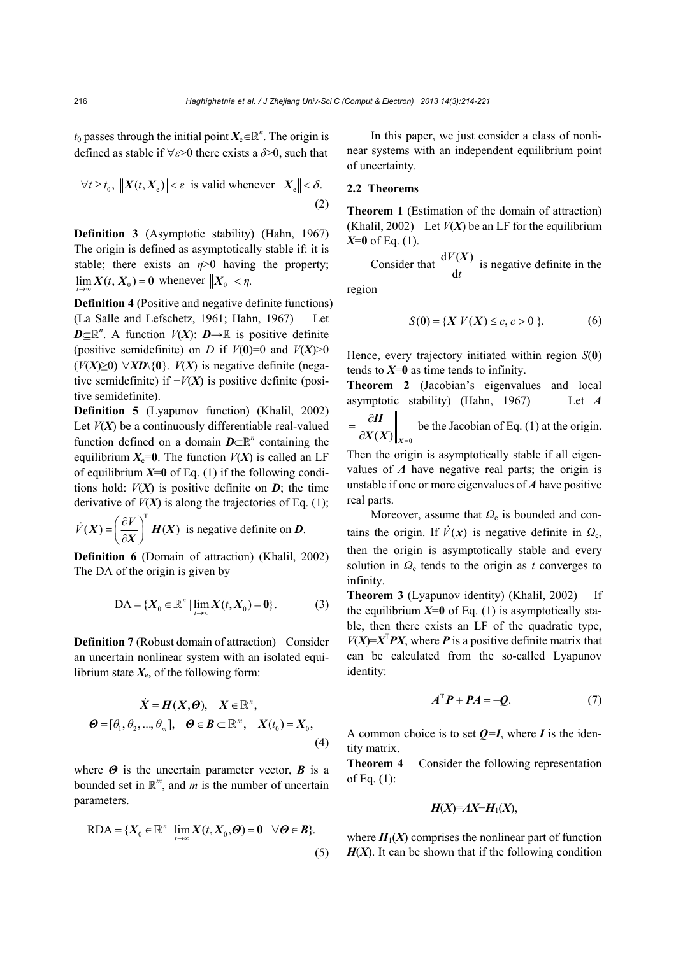$t_0$  passes through the initial point  $X_e \in \mathbb{R}^n$ . The origin is defined as stable if  $\forall \varepsilon > 0$  there exists a  $\delta > 0$ , such that

$$
\forall t \ge t_0, \|X(t, X_e)\| < \varepsilon \text{ is valid whenever } \|X_e\| < \delta.
$$
\n(2)

**Definition 3** (Asymptotic stability) (Hahn, 1967) The origin is defined as asymptotically stable if: it is stable; there exists an  $\eta$ >0 having the property;  $\lim_{t \to \infty} X(t, X_0) = 0$  whenever  $||X_0|| < \eta$ .

**Definition 4** (Positive and negative definite functions) (La Salle and Lefschetz, 1961; Hahn, 1967) Let  $D \subseteq \mathbb{R}^n$ . A function *V*(*X*):  $D \to \mathbb{R}$  is positive definite (positive semidefinite) on *D* if  $V(0)=0$  and  $V(X)>0$ (*V*(*X*)≥0) *XD*\{**0**}. *V*(*X*) is negative definite (negative semidefinite) if  $-V(X)$  is positive definite (positive semidefinite).

**Definition 5** (Lyapunov function) (Khalil, 2002) Let  $V(X)$  be a continuously differentiable real-valued function defined on a domain  $D\subset\mathbb{R}^n$  containing the equilibrium  $X_e=0$ . The function  $V(X)$  is called an LF of equilibrium  $X=0$  of Eq. (1) if the following conditions hold:  $V(X)$  is positive definite on  $D$ ; the time derivative of  $V(X)$  is along the trajectories of Eq. (1);

 $\dot{V}(X) = \left(\frac{\partial V}{\partial X}\right)^{T} H(X)$  is negative definite on *D*.

**Definition 6** (Domain of attraction) (Khalil, 2002) The DA of the origin is given by

$$
DA = \{X_0 \in \mathbb{R}^n \mid \lim_{t \to \infty} X(t, X_0) = 0\}.
$$
 (3)

**Definition 7** (Robust domain of attraction) Consider an uncertain nonlinear system with an isolated equilibrium state  $X_e$ , of the following form:

$$
\dot{X} = H(X, \Theta), \quad X \in \mathbb{R}^n,
$$
  

$$
\Theta = [\theta_1, \theta_2, ..., \theta_m], \quad \Theta \in \mathcal{B} \subset \mathbb{R}^m, \quad X(t_0) = X_0,
$$
  
(4)

where  $\Theta$  is the uncertain parameter vector,  $\boldsymbol{B}$  is a bounded set in  $\mathbb{R}^m$ , and *m* is the number of uncertain parameters.

$$
RDA = \{X_0 \in \mathbb{R}^n \mid \lim_{t \to \infty} X(t, X_0, \Theta) = 0 \quad \forall \Theta \in \mathcal{B}\}.
$$
\n<sup>(5)</sup>

In this paper, we just consider a class of nonlinear systems with an independent equilibrium point of uncertainty.

### **2.2 Theorems**

**Theorem 1** (Estimation of the domain of attraction) (Khalil, 2002) Let  $V(X)$  be an LF for the equilibrium *X*=**0** of Eq. (1).

Consider that  $\frac{dV(X)}{dx}$ d *V t*  $\frac{X}{Y}$  is negative definite in the

region

$$
S(0) = \{X | V(X) \le c, c > 0 \}.
$$
 (6)

Hence, every trajectory initiated within region *S*(**0**) tends to  $X=0$  as time tends to infinity.

**Theorem 2** (Jacobian's eigenvalues and local asymptotic stability) (Hahn, 1967) Let *A*   $=\frac{\partial H}{\partial X(X)}\Big|_{X=0}$  be the Jacobian of Eq. (1) at the origin.

Then the origin is asymptotically stable if all eigenvalues of *A* have negative real parts; the origin is unstable if one or more eigenvalues of *A* have positive real parts.

Moreover, assume that  $Q_c$  is bounded and contains the origin. If  $\dot{V}(x)$  is negative definite in  $Q_c$ , then the origin is asymptotically stable and every solution in  $Q_c$  tends to the origin as *t* converges to infinity.

**Theorem 3** (Lyapunov identity) (Khalil, 2002) If the equilibrium  $X=0$  of Eq. (1) is asymptotically stable, then there exists an LF of the quadratic type,  $V(X)=X^T P X$ , where **P** is a positive definite matrix that can be calculated from the so-called Lyapunov identity:

$$
A^{\mathrm{T}}P + PA = -Q.\tag{7}
$$

A common choice is to set  $Q=I$ , where *I* is the identity matrix.

**Theorem 4** Consider the following representation of Eq. (1):

$$
H(X)=AX+H_1(X),
$$

where  $H_1(X)$  comprises the nonlinear part of function  $H(X)$ . It can be shown that if the following condition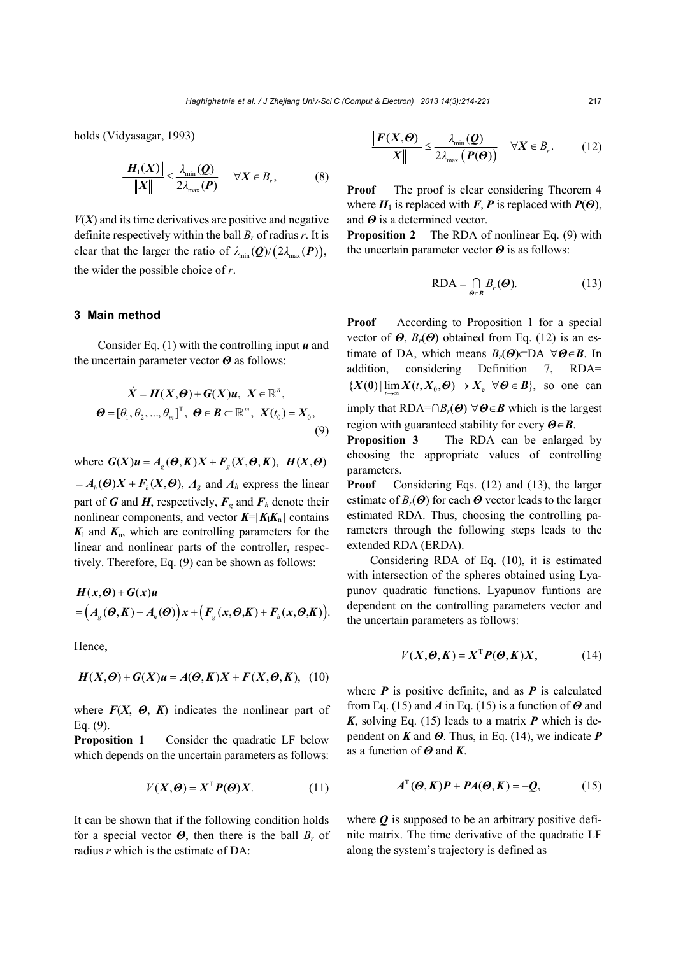holds (Vidyasagar, 1993)

$$
\frac{\|\boldsymbol{H}_1(\boldsymbol{X})\|}{\|\boldsymbol{X}\|} \leq \frac{\lambda_{\min}(\boldsymbol{Q})}{2\lambda_{\max}(\boldsymbol{P})} \quad \forall \boldsymbol{X} \in \boldsymbol{B}_r,
$$
\n(8)

 $V(X)$  and its time derivatives are positive and negative definite respectively within the ball *Br* of radius *r*. It is clear that the larger the ratio of  $\lambda_{\min}(\mathbf{Q})/(2\lambda_{\max}(\mathbf{P})),$ the wider the possible choice of *r*.

#### **3 Main method**

Consider Eq. (1) with the controlling input *u* and the uncertain parameter vector *Θ* as follows:

$$
\dot{X} = H(X, \Theta) + G(X)u, \ X \in \mathbb{R}^n,
$$
  

$$
\Theta = [\theta_1, \theta_2, ..., \theta_m]^T, \ \Theta \in \mathcal{B} \subset \mathbb{R}^m, \ X(t_0) = X_0,
$$
  
(9)

where  $G(X)u = A_{\varrho}(\Theta, K)X + F_{\varrho}(X, \Theta, K), H(X, \Theta)$ 

 $= A_h(\Theta)X + F_h(X, \Theta), A_g$  and  $A_h$  express the linear part of *G* and *H*, respectively,  $F_g$  and  $F_h$  denote their nonlinear components, and vector  $K=[K_1K_n]$  contains  $K<sub>l</sub>$  and  $K<sub>n</sub>$ , which are controlling parameters for the linear and nonlinear parts of the controller, respectively. Therefore, Eq. (9) can be shown as follows:

$$
H(x,\Theta) + G(x)u
$$
  
=  $(A_g(\Theta,K) + A_h(\Theta))x + (F_g(x,\Theta,K) + F_h(x,\Theta,K)).$ 

Hence,

$$
H(X, \Theta) + G(X)u = A(\Theta, K)X + F(X, \Theta, K), \quad (10)
$$

where  $F(X, \Theta, K)$  indicates the nonlinear part of Eq. (9).

**Proposition 1** Consider the quadratic LF below which depends on the uncertain parameters as follows:

$$
V(X, \Theta) = X^{\mathrm{T}} P(\Theta) X. \tag{11}
$$

It can be shown that if the following condition holds for a special vector *Θ*, then there is the ball *Br* of radius *r* which is the estimate of DA:

$$
\frac{\|\boldsymbol{F}(X,\boldsymbol{\Theta})\|}{\|X\|} \le \frac{\lambda_{\min}(\boldsymbol{Q})}{2\lambda_{\max}(\boldsymbol{P}(\boldsymbol{\Theta}))} \quad \forall X \in B_r.
$$
 (12)

**Proof** The proof is clear considering Theorem 4 where  $H_1$  is replaced with  $F, P$  is replaced with  $P(\Theta)$ , and *Θ* is a determined vector.

**Proposition 2** The RDA of nonlinear Eq. (9) with the uncertain parameter vector *Θ* is as follows:

$$
RDA = \bigcap_{\boldsymbol{\theta} \in \boldsymbol{B}} B_r(\boldsymbol{\Theta}).
$$
 (13)

**Proof** According to Proposition 1 for a special vector of  $\boldsymbol{\Theta}$ ,  $B_r(\boldsymbol{\Theta})$  obtained from Eq. (12) is an estimate of DA, which means  $B_r(\mathbf{\Theta}) \subset \mathbb{D}$ A  $\forall \mathbf{\Theta} \in \mathbf{B}$ . In addition, considering Definition 7, RDA=  ${X(0) \mid \lim X(t, X_0, \Theta) \to X_{\epsilon} \ \forall \Theta \in B}$ , so one can imply that  $RDA=\bigcap B_r(\Theta)$   $\forall \Theta \in \mathbf{B}$  which is the largest region with guaranteed stability for every *ΘB*.

**Proposition 3** The RDA can be enlarged by choosing the appropriate values of controlling parameters.

**Proof** Considering Eqs. (12) and (13), the larger estimate of *Br*(*Θ*) for each *Θ* vector leads to the larger estimated RDA. Thus, choosing the controlling parameters through the following steps leads to the extended RDA (ERDA).

Considering RDA of Eq. (10), it is estimated with intersection of the spheres obtained using Lyapunov quadratic functions. Lyapunov funtions are dependent on the controlling parameters vector and the uncertain parameters as follows:

$$
V(X, \Theta, K) = X^{\mathrm{T}} P(\Theta, K) X, \tag{14}
$$

where  $P$  is positive definite, and as  $P$  is calculated from Eq. (15) and *A* in Eq. (15) is a function of *Θ* and *K*, solving Eq. (15) leads to a matrix *P* which is dependent on *K* and *Θ*. Thus, in Eq. (14), we indicate *P* as a function of *Θ* and *K*.

$$
A^{\mathrm{T}}(\boldsymbol{\Theta}, K)\boldsymbol{P} + \boldsymbol{P}A(\boldsymbol{\Theta}, K) = -\boldsymbol{Q}, \qquad (15)
$$

where  $Q$  is supposed to be an arbitrary positive definite matrix. The time derivative of the quadratic LF along the system's trajectory is defined as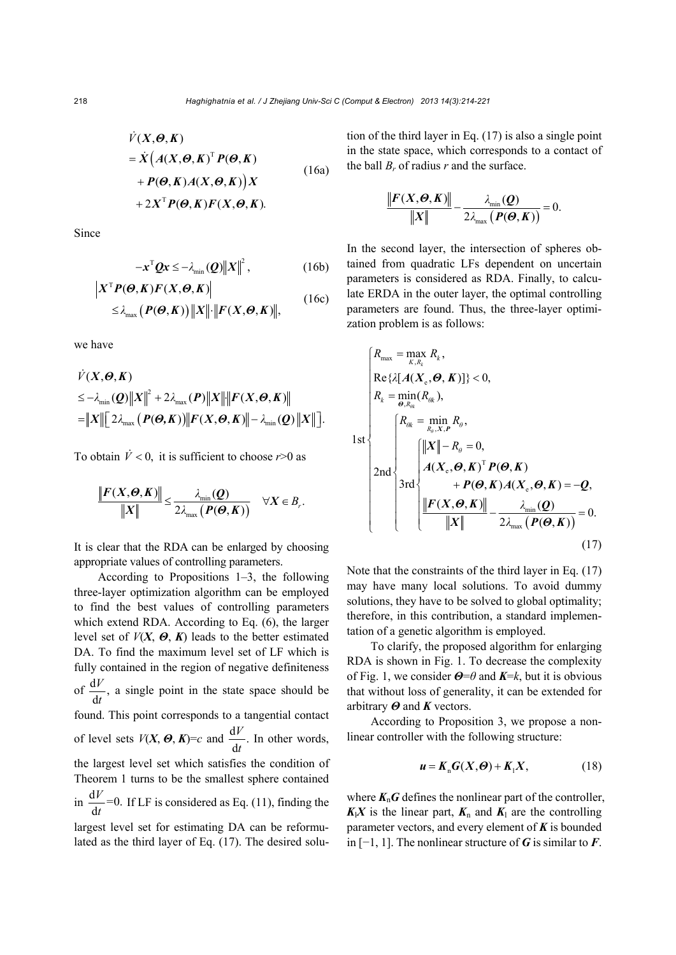$$
\dot{V}(X,\Theta,K)
$$
\n
$$
= \dot{X} (A(X,\Theta,K)^{T} P(\Theta,K)
$$
\n
$$
+ P(\Theta,K)A(X,\Theta,K) X
$$
\n(16a)

$$
+ 2X^{\mathrm{T}} P(\boldsymbol{\Theta}, K) F(X, \boldsymbol{\Theta}, K).
$$

Since

$$
-x^{\mathrm{T}}\mathbf{Q}x \leq -\lambda_{\min}(\mathbf{Q})||X||^2, \qquad (16b)
$$

$$
\begin{aligned} \left| X^{\mathsf{T}} P(\boldsymbol{\Theta}, K) F(X, \boldsymbol{\Theta}, K) \right| \\ \leq & \lambda_{\max} \left( P(\boldsymbol{\Theta}, K) \right) \left\| X \right\| \cdot \left\| F(X, \boldsymbol{\Theta}, K) \right\|, \end{aligned} \tag{16c}
$$

we have

$$
\dot{V}(X,\Theta,K) \n\leq -\lambda_{\min}(\mathbf{Q})||X||^2 + 2\lambda_{\max}(\mathbf{P})||X|| \cdot ||F(X,\Theta,K)|| \n= ||X|| [2\lambda_{\max}(\mathbf{P}(\Theta,K))||F(X,\Theta,K)|| - \lambda_{\min}(\mathbf{Q})||X||].
$$

To obtain  $\dot{V}$  < 0, it is sufficient to choose  $r > 0$  as

$$
\frac{\|\boldsymbol{F}(\boldsymbol{X},\boldsymbol{\Theta},\boldsymbol{K})\|}{\|\boldsymbol{X}\|} \leq \frac{\lambda_{\min}(\boldsymbol{Q})}{2\lambda_{\max}(\boldsymbol{P}(\boldsymbol{\Theta},\boldsymbol{K}))} \quad \forall \boldsymbol{X} \in B_r.
$$

It is clear that the RDA can be enlarged by choosing appropriate values of controlling parameters.

According to Propositions 1–3, the following three-layer optimization algorithm can be employed to find the best values of controlling parameters which extend RDA. According to Eq. (6), the larger level set of  $V(X, \Theta, K)$  leads to the better estimated DA. To find the maximum level set of LF which is fully contained in the region of negative definiteness of  $\frac{\mathrm{d}V}{\mathrm{d}t}$ , *t* a single point in the state space should be found. This point corresponds to a tangential contact of level sets  $V(X, \mathbf{\Theta}, K)=c$  and  $\frac{dV}{dt}$ . *t* In other words, the largest level set which satisfies the condition of Theorem 1 turns to be the smallest sphere contained in  $\frac{dV}{dt} = 0$ . d *V t* If LF is considered as Eq. (11), finding the largest level set for estimating DA can be reformulated as the third layer of Eq. (17). The desired solution of the third layer in Eq. (17) is also a single point in the state space, which corresponds to a contact of the ball  $B_r$  of radius  $r$  and the surface.

$$
\frac{\|\boldsymbol{F}(\boldsymbol{X},\boldsymbol{\Theta},\boldsymbol{K})\|}{\|\boldsymbol{X}\|} - \frac{\lambda_{\min}(\boldsymbol{Q})}{2\lambda_{\max}(\boldsymbol{P}(\boldsymbol{\Theta},\boldsymbol{K}))} = 0.
$$

In the second layer, the intersection of spheres obtained from quadratic LFs dependent on uncertain parameters is considered as RDA. Finally, to calculate ERDA in the outer layer, the optimal controlling parameters are found. Thus, the three-layer optimization problem is as follows:

$$
\begin{cases}\nR_{\max} = \max_{K, R_k} R_k, \\
\text{Re}\{\lambda[A(X_e, \Theta, K)]\} < 0, \\
R_k = \min_{\Theta, R_{\theta k}} (R_{\theta k}), \\
1 \text{st}\n\end{cases}\n\begin{cases}\nR_{\theta k} = \min_{R_{\theta}, X, P} R_{\theta}, \\
\text{dist}\begin{cases}\n\|X\| - R_{\theta} = 0, \\
A(X_e, \Theta, K)^{\text{T}} P(\Theta, K) \\
\to P(\Theta, K) A(X_e, \Theta, K) = -Q, \\
\text{dist}\begin{cases}\n\|F(X, \Theta, K)\| \\
\|K\| \end{cases} - \frac{\lambda_{\min}(Q)}{2\lambda_{\max}(P(\Theta, K))} = 0.\n\end{cases}\n\end{cases}
$$
\n(17)

Note that the constraints of the third layer in Eq. (17) may have many local solutions. To avoid dummy solutions, they have to be solved to global optimality; therefore, in this contribution, a standard implementation of a genetic algorithm is employed.

To clarify, the proposed algorithm for enlarging RDA is shown in Fig. 1. To decrease the complexity of Fig. 1, we consider *Θ*=*θ* and *K*=*k*, but it is obvious that without loss of generality, it can be extended for arbitrary *Θ* and *K* vectors.

According to Proposition 3, we propose a nonlinear controller with the following structure:

$$
\mathbf{u} = \mathbf{K}_n \mathbf{G}(\mathbf{X}, \mathbf{\Theta}) + \mathbf{K}_1 \mathbf{X}, \tag{18}
$$

where  $K_nG$  defines the nonlinear part of the controller,  $K_1X$  is the linear part,  $K_n$  and  $K_1$  are the controlling parameter vectors, and every element of  $K$  is bounded in [−1, 1]. The nonlinear structure of *G* is similar to *F*.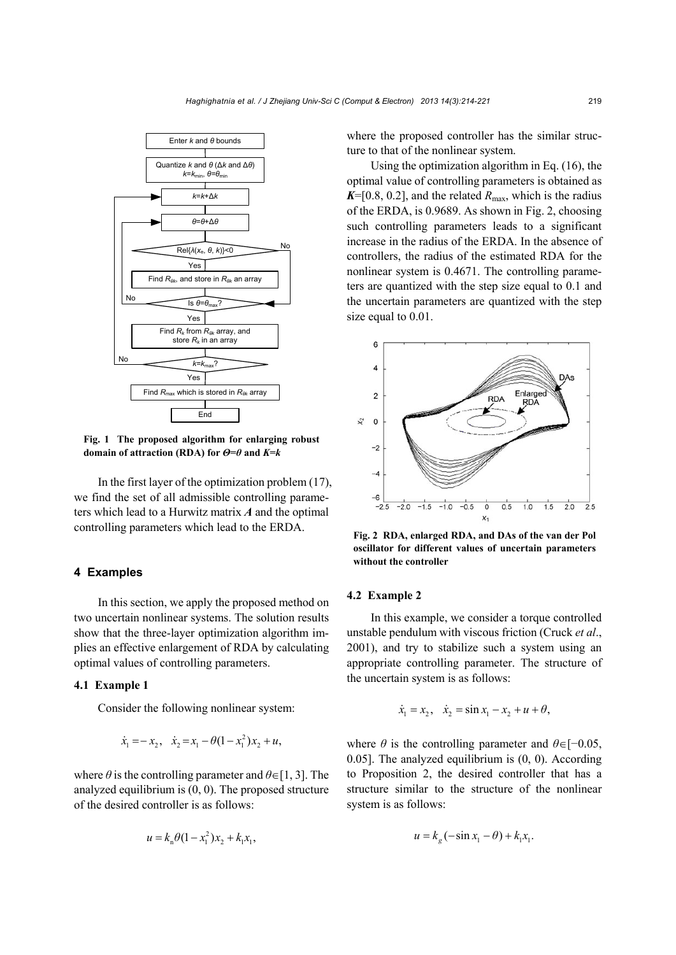

**Fig. 1 The proposed algorithm for enlarging robust domain of attraction (RDA) for** *Θ***=***θ* **and** *K***=***k* 

In the first layer of the optimization problem (17), we find the set of all admissible controlling parameters which lead to a Hurwitz matrix *A* and the optimal controlling parameters which lead to the ERDA.

#### **4 Examples**

In this section, we apply the proposed method on two uncertain nonlinear systems. The solution results show that the three-layer optimization algorithm implies an effective enlargement of RDA by calculating optimal values of controlling parameters.

### **4.1 Example 1**

Consider the following nonlinear system:

$$
\dot{x}_1 = -x_2, \quad \dot{x}_2 = x_1 - \theta(1 - x_1^2)x_2 + u,
$$

where  $\theta$  is the controlling parameter and  $\theta \in [1, 3]$ . The analyzed equilibrium is (0, 0). The proposed structure of the desired controller is as follows:

$$
u = k_{n}\theta(1 - x_{1}^{2})x_{2} + k_{1}x_{1},
$$

where the proposed controller has the similar structure to that of the nonlinear system.

Using the optimization algorithm in Eq. (16), the optimal value of controlling parameters is obtained as  $K=[0.8, 0.2]$ , and the related  $R_{\text{max}}$ , which is the radius of the ERDA, is 0.9689. As shown in Fig. 2, choosing such controlling parameters leads to a significant increase in the radius of the ERDA. In the absence of controllers, the radius of the estimated RDA for the nonlinear system is 0.4671. The controlling parameters are quantized with the step size equal to 0.1 and the uncertain parameters are quantized with the step size equal to 0.01.



**Fig. 2 RDA, enlarged RDA, and DAs of the van der Pol oscillator for different values of uncertain parameters without the controller** 

### **4.2 Example 2**

In this example, we consider a torque controlled unstable pendulum with viscous friction (Cruck *et al*., 2001), and try to stabilize such a system using an appropriate controlling parameter. The structure of the uncertain system is as follows:

$$
\dot{x}_1 = x_2, \quad \dot{x}_2 = \sin x_1 - x_2 + u + \theta,
$$

where  $\theta$  is the controlling parameter and  $\theta \in [-0.05,$ 0.05]. The analyzed equilibrium is (0, 0). According to Proposition 2, the desired controller that has a structure similar to the structure of the nonlinear system is as follows:

$$
u = k_g(-\sin x_1 - \theta) + k_1 x_1.
$$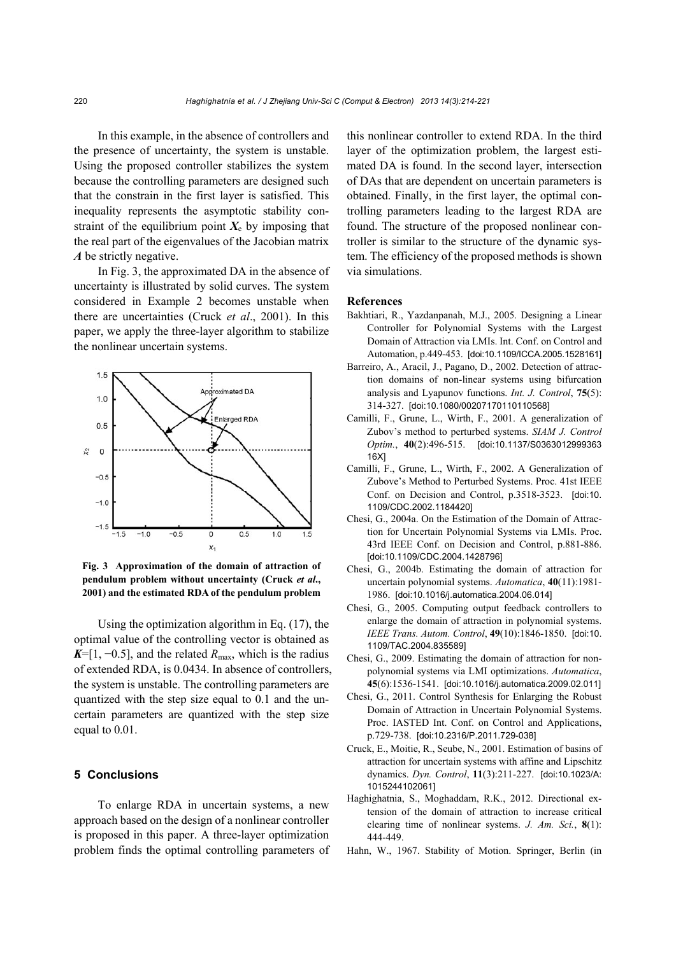In this example, in the absence of controllers and the presence of uncertainty, the system is unstable. Using the proposed controller stabilizes the system because the controlling parameters are designed such that the constrain in the first layer is satisfied. This inequality represents the asymptotic stability constraint of the equilibrium point  $X_e$  by imposing that the real part of the eigenvalues of the Jacobian matrix *A* be strictly negative.

In Fig. 3, the approximated DA in the absence of uncertainty is illustrated by solid curves. The system considered in Example 2 becomes unstable when there are uncertainties (Cruck *et al*., 2001). In this paper, we apply the three-layer algorithm to stabilize the nonlinear uncertain systems.



**Fig. 3 Approximation of the domain of attraction of pendulum problem without uncertainty (Cruck** *et al***., 2001) and the estimated RDA of the pendulum problem**

Using the optimization algorithm in Eq. (17), the optimal value of the controlling vector is obtained as  $K=[1, -0.5]$ , and the related  $R_{\text{max}}$ , which is the radius of extended RDA, is 0.0434. In absence of controllers, the system is unstable. The controlling parameters are quantized with the step size equal to 0.1 and the uncertain parameters are quantized with the step size equal to 0.01.

# **5 Conclusions**

To enlarge RDA in uncertain systems, a new approach based on the design of a nonlinear controller is proposed in this paper. A three-layer optimization problem finds the optimal controlling parameters of this nonlinear controller to extend RDA. In the third layer of the optimization problem, the largest estimated DA is found. In the second layer, intersection of DAs that are dependent on uncertain parameters is obtained. Finally, in the first layer, the optimal controlling parameters leading to the largest RDA are found. The structure of the proposed nonlinear controller is similar to the structure of the dynamic system. The efficiency of the proposed methods is shown via simulations.

#### **References**

- Bakhtiari, R., Yazdanpanah, M.J., 2005. Designing a Linear Controller for Polynomial Systems with the Largest Domain of Attraction via LMIs. Int. Conf. on Control and Automation, p.449-453. [doi:10.1109/ICCA.2005.1528161]
- Barreiro, A., Aracil, J., Pagano, D., 2002. Detection of attraction domains of non-linear systems using bifurcation analysis and Lyapunov functions. *Int. J. Control*, **75**(5): 314-327. [doi:10.1080/00207170110110568]
- Camilli, F., Grune, L., Wirth, F., 2001. A generalization of Zubov's method to perturbed systems. *SIAM J. Control Optim.*, **40**(2):496-515. [doi:10.1137/S0363012999363 16X]
- Camilli, F., Grune, L., Wirth, F., 2002. A Generalization of Zubove's Method to Perturbed Systems. Proc. 41st IEEE Conf. on Decision and Control, p.3518-3523. [doi:10. 1109/CDC.2002.1184420]
- Chesi, G., 2004a. On the Estimation of the Domain of Attraction for Uncertain Polynomial Systems via LMIs. Proc. 43rd IEEE Conf. on Decision and Control, p.881-886. [doi:10.1109/CDC.2004.1428796]
- Chesi, G., 2004b. Estimating the domain of attraction for uncertain polynomial systems. *Automatica*, **40**(11):1981- 1986. [doi:10.1016/j.automatica.2004.06.014]
- Chesi, G., 2005. Computing output feedback controllers to enlarge the domain of attraction in polynomial systems. *IEEE Trans. Autom. Control*, **49**(10):1846-1850. [doi:10. 1109/TAC.2004.835589]
- Chesi, G., 2009. Estimating the domain of attraction for nonpolynomial systems via LMI optimizations. *Automatica*, **45**(6):1536-1541. [doi:10.1016/j.automatica.2009.02.011]
- Chesi, G., 2011. Control Synthesis for Enlarging the Robust Domain of Attraction in Uncertain Polynomial Systems. Proc. IASTED Int. Conf. on Control and Applications, p.729-738. [doi:10.2316/P.2011.729-038]
- Cruck, E., Moitie, R., Seube, N., 2001. Estimation of basins of attraction for uncertain systems with affine and Lipschitz dynamics. *Dyn. Control*, **11**(3):211-227. [doi:10.1023/A: 1015244102061]
- Haghighatnia, S., Moghaddam, R.K., 2012. Directional extension of the domain of attraction to increase critical clearing time of nonlinear systems. *J. Am. Sci.*, **8**(1): 444-449.
- Hahn, W., 1967. Stability of Motion. Springer, Berlin (in